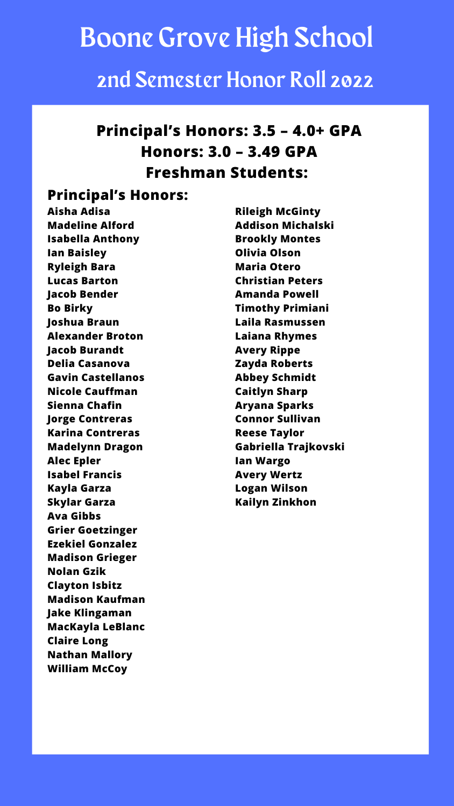**Principal's Honors: 3.5 – 4.0+ GPA Honors: 3.0 – 3.49 GPA Freshman Students:**

#### **Principal's Honors:**

**Aisha Adisa Madeline Alford Isabella Anthony Ian Baisley Ryleigh Bara Lucas Barton Jacob Bender Bo Birky Joshua Braun Alexander Broton Jacob Burandt Delia Casanova Gavin Castellanos Nicole Cauffman Sienna Chafin Jorge Contreras Karina Contreras Madelynn Dragon Alec Epler Isabel Francis Kayla Garza Skylar Garza Ava Gibbs Grier Goetzinger Ezekiel Gonzalez Madison Grieger Nolan Gzik Clayton Isbitz Madison Kaufman Jake Klingaman MacKayla LeBlanc Claire Long Nathan Mallory William McCoy**

**Rileigh McGinty Addison Michalski Brookly Montes Olivia Olson Maria Otero Christian Peters Amanda Powell Timothy Primiani Laila Rasmussen Laiana Rhymes Avery Rippe Zayda Roberts Abbey Schmidt Caitlyn Sharp Aryana Sparks Connor Sullivan Reese Taylor Gabriella Trajkovski Ian Wargo Avery Wertz Logan Wilson Kailyn Zinkhon**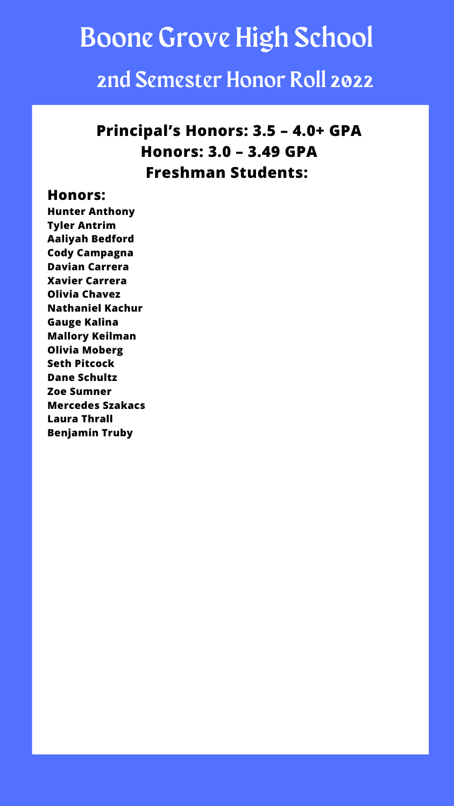**Principal's Honors: 3.5 – 4.0+ GPA Honors: 3.0 – 3.49 GPA Freshman Students:**

#### **Honors:**

**Hunter Anthony Tyler Antrim Aaliyah Bedford Cody Campagna Davian Carrera Xavier Carrera Olivia Chavez Nathaniel Kachur Gauge Kalina Mallory Keilman Olivia Moberg Seth Pitcock Dane Schultz Zoe Sumner Mercedes Szakacs Laura Thrall Benjamin Truby**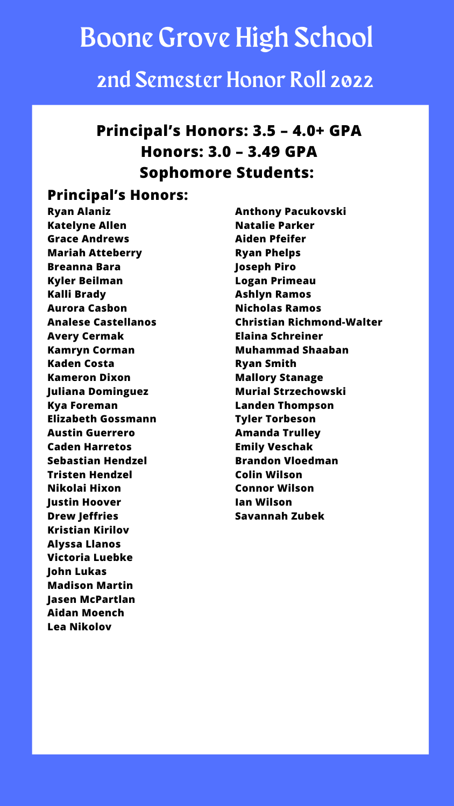**Principal's Honors: 3.5 – 4.0+ GPA Honors: 3.0 – 3.49 GPA Sophomore Students:**

### **Principal's Honors:**

**Ryan Alaniz Katelyne Allen Grace Andrews Mariah Atteberry Breanna Bara Kyler Beilman Kalli Brady Aurora Casbon Analese Castellanos Avery Cermak Kamryn Corman Kaden Costa Kameron Dixon Juliana Dominguez Kya Foreman Elizabeth Gossmann Austin Guerrero Caden Harretos Sebastian Hendzel Tristen Hendzel Nikolai Hixon Justin Hoover Drew Jeffries Kristian Kirilov Alyssa Llanos Victoria Luebke John Lukas Madison Martin Jasen McPartlan Aidan Moench Lea Nikolov**

**Anthony Pacukovski Natalie Parker Aiden Pfeifer Ryan Phelps Joseph Piro Logan Primeau Ashlyn Ramos Nicholas Ramos Christian Richmond-Walter Elaina Schreiner Muhammad Shaaban Ryan Smith Mallory Stanage Murial Strzechowski Landen Thompson Tyler Torbeson Amanda Trulley Emily Veschak Brandon Vloedman Colin Wilson Connor Wilson Ian Wilson Savannah Zubek**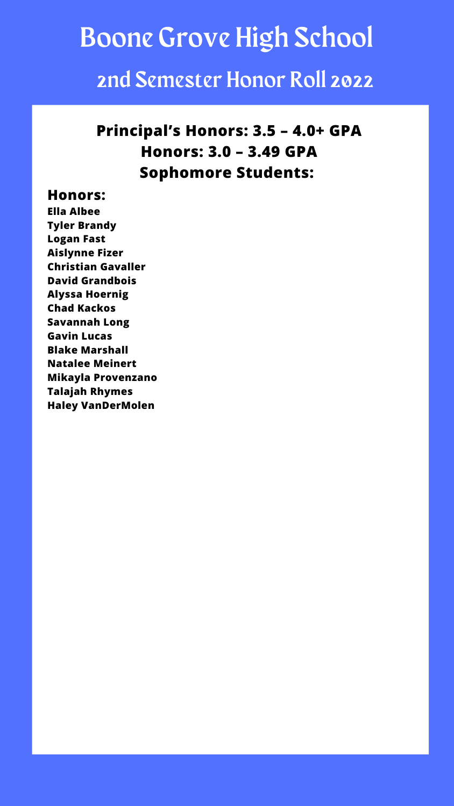# **Principal's Honors: 3.5 – 4.0+ GPA Honors: 3.0 – 3.49 GPA Sophomore Students:**

#### **Honors:**

**Ella Albee Tyler Brandy Logan Fast Aislynne Fizer Christian Gavaller David Grandbois Alyssa Hoernig Chad Kackos Savannah Long Gavin Lucas Blake Marshall Natalee Meinert Mikayla Provenzano Talajah Rhymes Haley VanDerMolen**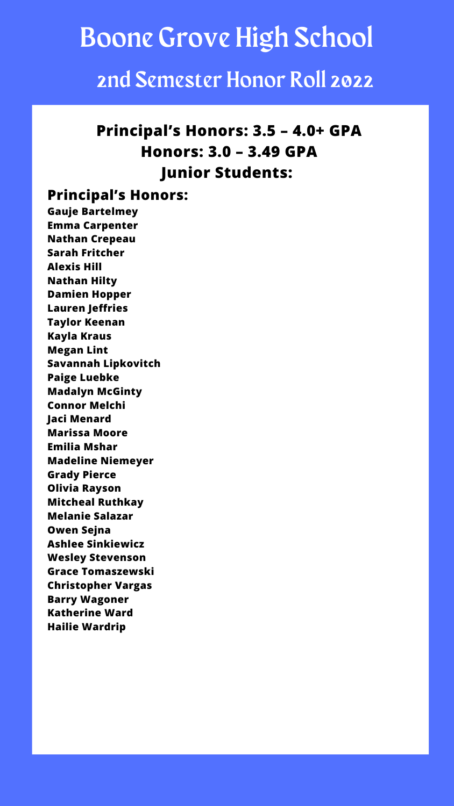**Principal's Honors: 3.5 – 4.0+ GPA Honors: 3.0 – 3.49 GPA Junior Students:**

#### **Principal's Honors:**

**Gauje Bartelmey Emma Carpenter Nathan Crepeau Sarah Fritcher Alexis Hill Nathan Hilty Damien Hopper Lauren Jeffries Taylor Keenan Kayla Kraus Megan Lint Savannah Lipkovitch Paige Luebke Madalyn McGinty Connor Melchi Jaci Menard Marissa Moore Emilia Mshar Madeline Niemeyer Grady Pierce Olivia Rayson Mitcheal Ruthkay Melanie Salazar Owen Sejna Ashlee Sinkiewicz Wesley Stevenson Grace Tomaszewski Christopher Vargas Barry Wagoner Katherine Ward Hailie Wardrip**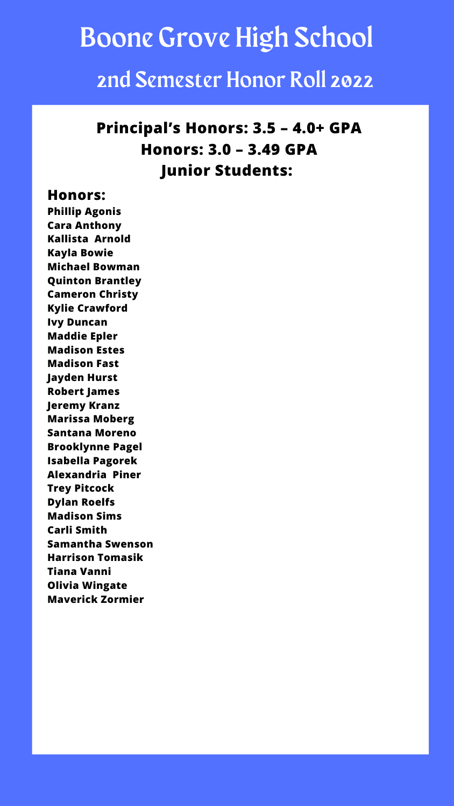## **Principal's Honors: 3.5 – 4.0+ GPA Honors: 3.0 – 3.49 GPA Junior Students:**

#### **Honors:**

**Phillip Agonis Cara Anthony Kallista Arnold Kayla Bowie Michael Bowman Quinton Brantley Cameron Christy Kylie Crawford Ivy Duncan Maddie Epler Madison Estes Madison Fast Jayden Hurst Robert James Jeremy Kranz Marissa Moberg Santana Moreno Brooklynne Pagel Isabella Pagorek Alexandria Piner Trey Pitcock Dylan Roelfs Madison Sims Carli Smith Samantha Swenson Harrison Tomasik Tiana Vanni Olivia Wingate Maverick Zormier**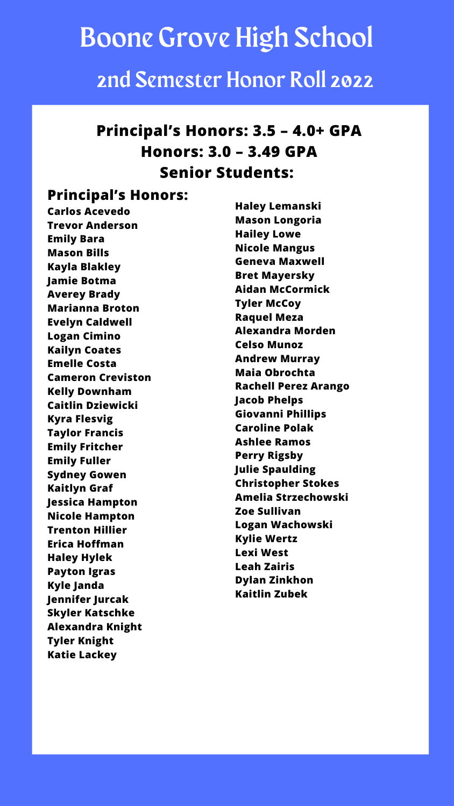# **Principal's Honors: 3.5 – 4.0+ GPA Honors: 3.0 – 3.49 GPA Senior Students:**

#### **Principal's Honors:**

**Carlos Acevedo Trevor Anderson Emily Bara Mason Bills Kayla Blakley Jamie Botma Averey Brady Marianna Broton Evelyn Caldwell Logan Cimino Kailyn Coates Emelle Costa Cameron Creviston Kelly Downham Caitlin Dziewicki Kyra Flesvig Taylor Francis Emily Fritcher Emily Fuller Sydney Gowen Kaitlyn Graf Jessica Hampton Nicole Hampton Trenton Hillier Erica Hoffman Haley Hylek Payton Igras Kyle Janda Jennifer Jurcak Skyler Katschke Alexandra Knight Tyler Knight Katie Lackey**

**Haley Lemanski Mason Longoria Hailey Lowe Nicole Mangus Geneva Maxwell Bret Mayersky Aidan McCormick Tyler McCoy Raquel Meza Alexandra Morden Celso Munoz Andrew Murray Maia Obrochta Rachell Perez Arango Jacob Phelps Giovanni Phillips Caroline Polak Ashlee Ramos Perry Rigsby Julie Spaulding Christopher Stokes Amelia Strzechowski Zoe Sullivan Logan Wachowski Kylie Wertz Lexi West Leah Zairis Dylan Zinkhon Kaitlin Zubek**